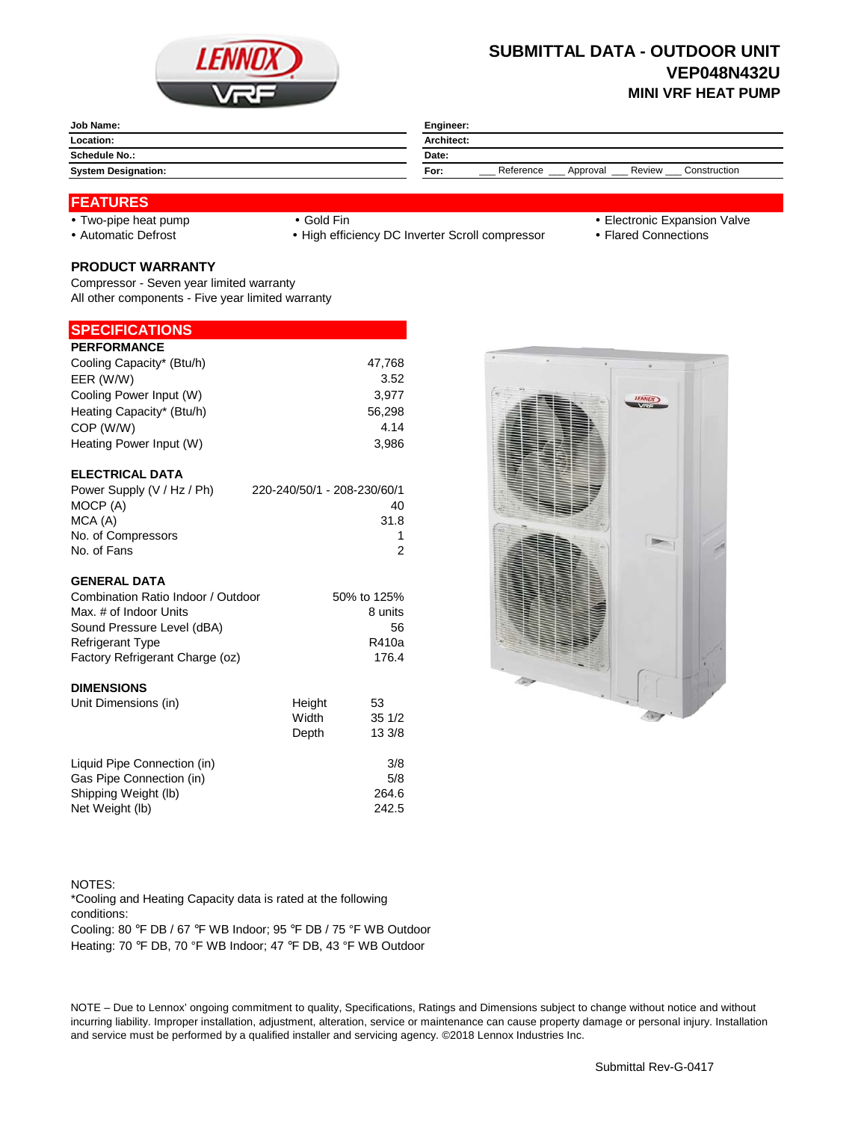

## **SUBMITTAL DATA - OUTDOOR UNIT VEP048N432U MINI VRF HEAT PUMP**

| Job Name:                  | Engineer:                                               |  |  |
|----------------------------|---------------------------------------------------------|--|--|
| Location:                  | Architect:                                              |  |  |
| <b>Schedule No.:</b>       | Date:                                                   |  |  |
| <b>System Designation:</b> | Construction<br>Reference<br>Review<br>Approval<br>For: |  |  |
|                            |                                                         |  |  |

#### **FEATURES**

- 
- 

• Automatic Defrost **Caucal Connections** • High efficiency DC Inverter Scroll compressor • Flared Connections

- Two-pipe heat pump Gold Fin Gold Fin Gold Fin Electronic Expansion Valve
	-

# **PRODUCT WARRANTY**

Compressor - Seven year limited warranty All other components - Five year limited warranty

### **SPECIFICATIONS**

| <b>PERFORMANCE</b>        |        |
|---------------------------|--------|
| Cooling Capacity* (Btu/h) | 47,768 |
| EER (W/W)                 | 3.52   |
| Cooling Power Input (W)   | 3,977  |
| Heating Capacity* (Btu/h) | 56,298 |
| COP (W/W)                 | 4.14   |
| Heating Power Input (W)   | 3.986  |
| <b>ELECTRICAL DATA</b>    |        |

| Power Supply (V / Hz / Ph) | 220-240/50/1 - 208-230/60/1 |
|----------------------------|-----------------------------|
| MOCP (A)                   | 40                          |
| MCA (A)                    | 31.8                        |
| No. of Compressors         |                             |
| No. of Fans                | 2                           |

#### **GENERAL DATA**

| Combination Ratio Indoor / Outdoor | 50% to 125% |
|------------------------------------|-------------|
| Max. # of Indoor Units             | 8 units     |
| Sound Pressure Level (dBA)         | 56          |
| <b>Refrigerant Type</b>            | R410a       |
| Factory Refrigerant Charge (oz)    | 176.4       |
| <b>DIMENSIONS</b>                  |             |

| Unit Dimensions (in)        | Height | 53     |
|-----------------------------|--------|--------|
|                             | Width  | 351/2  |
|                             | Depth  | 13 3/8 |
| Liquid Pipe Connection (in) |        | 3/8    |
| Gas Pipe Connection (in)    |        | 5/8    |
| Shipping Weight (lb)        |        | 264.6  |
| Net Weight (lb)             |        | 242.5  |



NOTES: Cooling: 80 °F DB / 67 °F WB Indoor; 95 °F DB / 75 °F WB Outdoor \*Cooling and Heating Capacity data is rated at the following conditions:

Heating: 70 °F DB, 70 °F WB Indoor; 47 °F DB, 43 °F WB Outdoor

NOTE – Due to Lennox' ongoing commitment to quality, Specifications, Ratings and Dimensions subject to change without notice and without incurring liability. Improper installation, adjustment, alteration, service or maintenance can cause property damage or personal injury. Installation and service must be performed by a qualified installer and servicing agency. ©2018 Lennox Industries Inc.